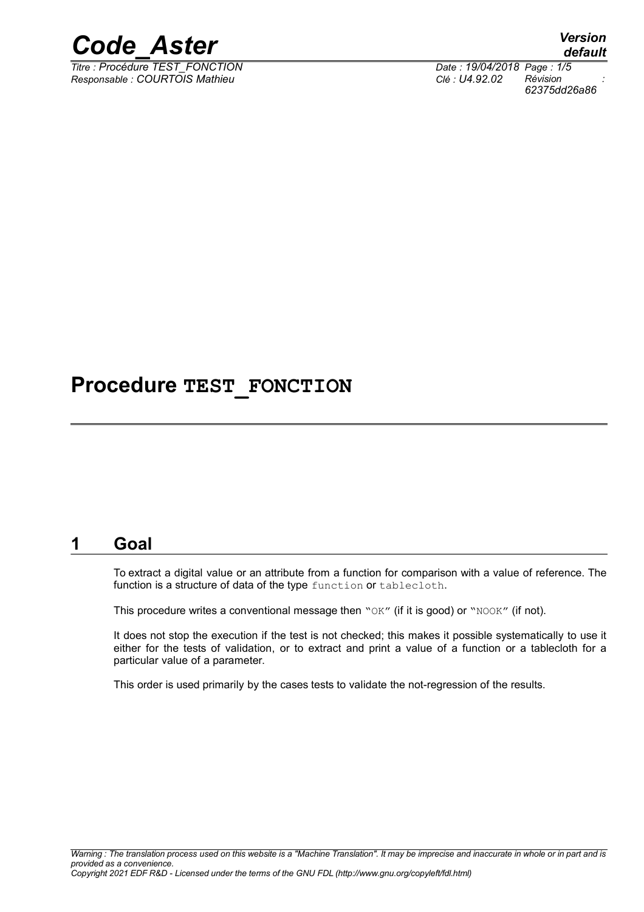

*Titre : Procédure TEST\_FONCTION Date : 19/04/2018 Page : 1/5 Responsable : COURTOIS Mathieu Clé : U4.92.02 Révision :*

*default 62375dd26a86*

## **Procedure TEST\_FONCTION**

### **1 Goal**

To extract a digital value or an attribute from a function for comparison with a value of reference. The function is a structure of data of the type function or tablecloth.

This procedure writes a conventional message then " $OK''$  (if it is good) or " $NOOK''$  (if not).

It does not stop the execution if the test is not checked; this makes it possible systematically to use it either for the tests of validation, or to extract and print a value of a function or a tablecloth for a particular value of a parameter.

This order is used primarily by the cases tests to validate the not-regression of the results.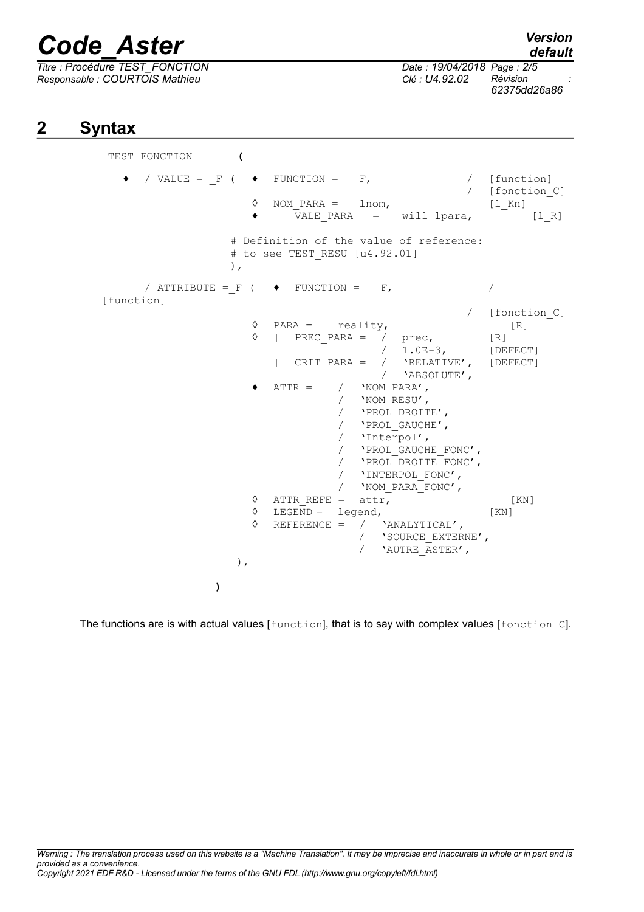*Titre : Procédure TEST\_FONCTION Date : 19/04/2018 Page : 2/5 Responsable : COURTOIS Mathieu Clé : U4.92.02 Révision :*

*62375dd26a86*

## **2 Syntax**

TEST\_FONCTION **(**  $\bullet$  / VALUE = F (  $\bullet$  FUNCTION = F, / [function] [fonction C] ◊ NOM\_PARA = lnom, [l\_Kn] ♦ VALE\_PARA = will lpara, [l\_R] # Definition of the value of reference: # to see TEST RESU [u4.92.01] ),  $\sqrt{ATTRIBUTE}$  = F (  $\rightarrow$  FUNCTION = F,  $\sqrt{2}$ [function] / [fonction\_C]  $\begin{array}{ccc} \Diamond & \text{PARA} = & \text{reality,} \\ \Diamond & \text{I} & \text{PREC PARA} = & \angle & \text{tree.} \end{array}$  [R]  $|$  PREC PARA = / prec,  $[R]$ / 1.0E-3, [DEFECT] | CRIT\_PARA = / 'RELATIVE', [DEFECT] / 'ABSOLUTE',  $\triangleleft$  ATTR = /  $'NOM$  PARA', / 'NOM\_RESU', / 'PROL\_DROITE', / 'PROL<sup>GAUCHE'</sup>, / 'Interpol', / 'PROL\_GAUCHE\_FONC', / 'PROL\_DROITE\_FONC', / 'INTERPOL\_FONC', / 'NOM\_PARA\_FONC',  $\Diamond$  ATTR REFE = attr, [KN]  $\Diamond$  LEGEND = legend, [KN]<br>  $\Diamond$  REFERENCE = / 'ANALYTICAL', REFERENCE =  $/$  'ANALYTICAL', / 'SOURCE\_EXTERNE', / 'AUTRE\_ASTER', ), **)**

The functions are is with actual values [function], that is to say with complex values [fonction C].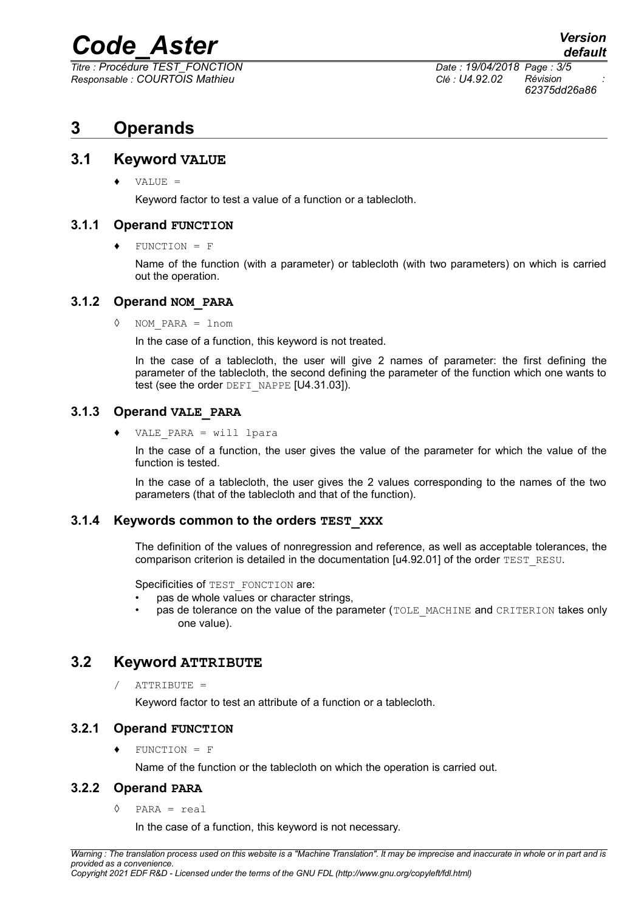*Titre : Procédure TEST\_FONCTION Date : 19/04/2018 Page : 3/5 Responsable : COURTOIS Mathieu Clé : U4.92.02 Révision :*

*62375dd26a86*

## **3 Operands**

#### **3.1 Keyword VALUE**

♦ VALUE =

Keyword factor to test a value of a function or a tablecloth.

#### **3.1.1 Operand FUNCTION**

 $FUNCTION = F$ 

Name of the function (with a parameter) or tablecloth (with two parameters) on which is carried out the operation.

#### **3.1.2 Operand NOM\_PARA**

◊ NOM\_PARA = lnom

In the case of a function, this keyword is not treated.

In the case of a tablecloth, the user will give 2 names of parameter: the first defining the parameter of the tablecloth, the second defining the parameter of the function which one wants to test (see the order DEFI\_NAPPE [U4.31.03]).

#### **3.1.3 Operand VALE\_PARA**

♦ VALE\_PARA = will lpara

In the case of a function, the user gives the value of the parameter for which the value of the function is tested.

In the case of a tablecloth, the user gives the 2 values corresponding to the names of the two parameters (that of the tablecloth and that of the function).

#### **3.1.4 Keywords common to the orders TEST\_XXX**

The definition of the values of nonregression and reference, as well as acceptable tolerances, the comparison criterion is detailed in the documentation [u4.92.01] of the order TEST\_RESU.

Specificities of TEST\_FONCTION are:

- pas de whole values or character strings,
- pas de tolerance on the value of the parameter (TOLE\_MACHINE and CRITERION takes only one value).

#### **3.2 Keyword ATTRIBUTE**

 $/$  ATTRIBUTE =

Keyword factor to test an attribute of a function or a tablecloth.

#### **3.2.1 Operand FUNCTION**

 $FUNCTION = F$ 

Name of the function or the tablecloth on which the operation is carried out.

#### **3.2.2 Operand PARA**

◊ PARA = real

In the case of a function, this keyword is not necessary.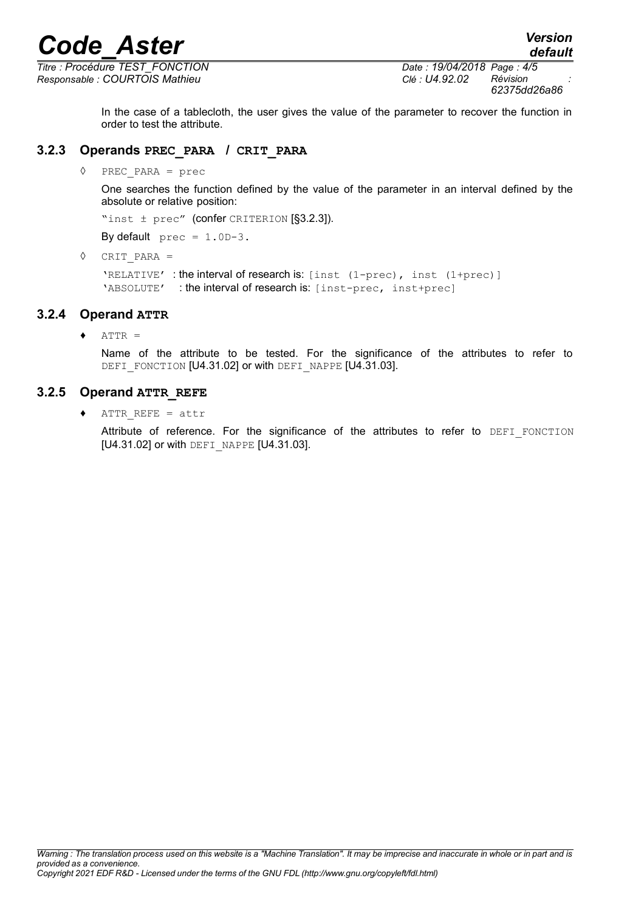*Titre : Procédure TEST\_FONCTION Date : 19/04/2018 Page : 4/5 Responsable : COURTOIS Mathieu Clé : U4.92.02 Révision :*

*default*

In the case of a tablecloth, the user gives the value of the parameter to recover the function in order to test the attribute.

#### **3.2.3 Operands PREC\_PARA / CRIT\_PARA**

◊ PREC\_PARA = prec

One searches the function defined by the value of the parameter in an interval defined by the absolute or relative position:

"inst ± prec" (confer CRITERION [§3.2.3]).

By default  $prec = 1.0D-3$ .

◊ CRIT\_PARA =

'RELATIVE' : the interval of research is: [inst (1-prec), inst (1+prec)] 'ABSOLUTE' : the interval of research is: [inst-prec, inst+prec]

#### **3.2.4 Operand ATTR**

 $\triangle$  ATTR =

Name of the attribute to be tested. For the significance of the attributes to refer to DEFI\_FONCTION [U4.31.02] or with DEFI\_NAPPE [U4.31.03].

#### **3.2.5 Operand ATTR\_REFE**

♦ ATTR\_REFE = attr

Attribute of reference. For the significance of the attributes to refer to DEFI FONCTION [U4.31.02] or with DEFI\_NAPPE [U4.31.03].